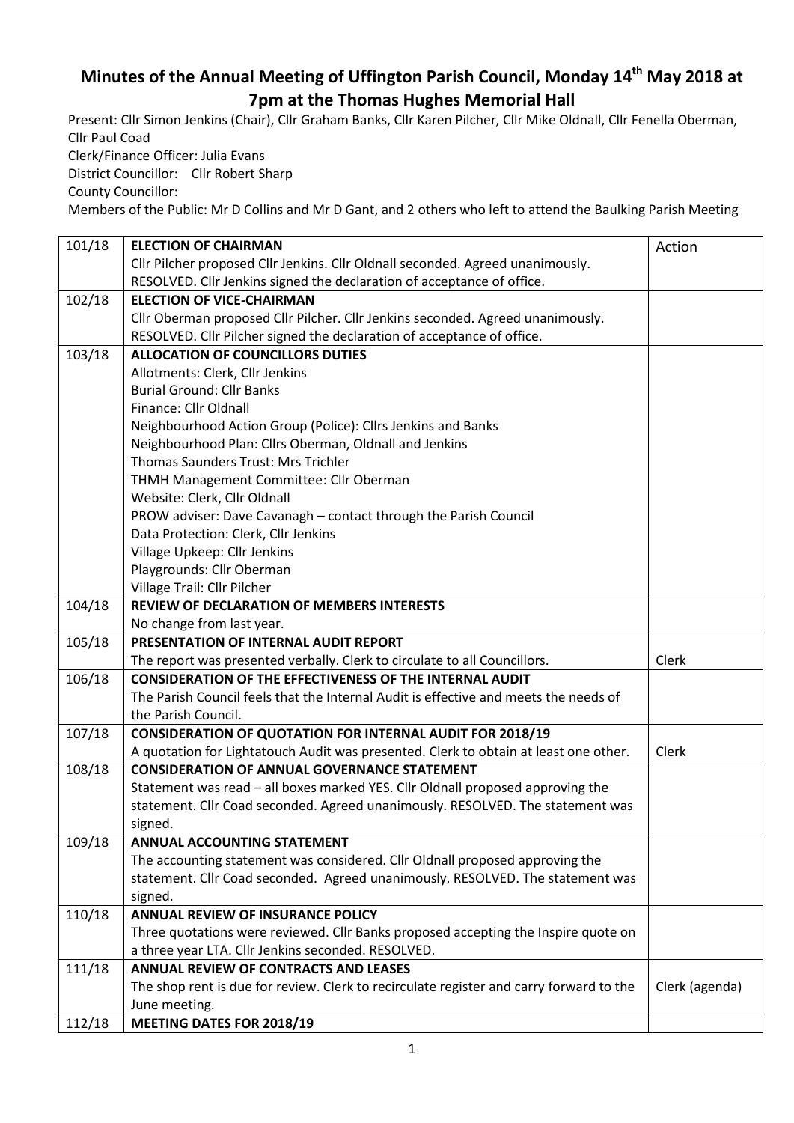## **Minutes of the Annual Meeting of Uffington Parish Council, Monday 14th May 2018 at 7pm at the Thomas Hughes Memorial Hall**

Present: Cllr Simon Jenkins (Chair), Cllr Graham Banks, Cllr Karen Pilcher, Cllr Mike Oldnall, Cllr Fenella Oberman, Cllr Paul Coad Clerk/Finance Officer: Julia Evans

District Councillor: Cllr Robert Sharp

County Councillor:

Members of the Public: Mr D Collins and Mr D Gant, and 2 others who left to attend the Baulking Parish Meeting

| 101/18 | <b>ELECTION OF CHAIRMAN</b>                                                             | Action         |
|--------|-----------------------------------------------------------------------------------------|----------------|
|        | Cllr Pilcher proposed Cllr Jenkins. Cllr Oldnall seconded. Agreed unanimously.          |                |
|        | RESOLVED. Cllr Jenkins signed the declaration of acceptance of office.                  |                |
| 102/18 | <b>ELECTION OF VICE-CHAIRMAN</b>                                                        |                |
|        | Cllr Oberman proposed Cllr Pilcher. Cllr Jenkins seconded. Agreed unanimously.          |                |
|        | RESOLVED. Cllr Pilcher signed the declaration of acceptance of office.                  |                |
| 103/18 | <b>ALLOCATION OF COUNCILLORS DUTIES</b>                                                 |                |
|        | Allotments: Clerk, Cllr Jenkins                                                         |                |
|        | <b>Burial Ground: Cllr Banks</b>                                                        |                |
|        | Finance: Cllr Oldnall                                                                   |                |
|        | Neighbourhood Action Group (Police): Cllrs Jenkins and Banks                            |                |
|        | Neighbourhood Plan: Cllrs Oberman, Oldnall and Jenkins                                  |                |
|        | Thomas Saunders Trust: Mrs Trichler                                                     |                |
|        | THMH Management Committee: Cllr Oberman                                                 |                |
|        | Website: Clerk, Cllr Oldnall                                                            |                |
|        | PROW adviser: Dave Cavanagh - contact through the Parish Council                        |                |
|        | Data Protection: Clerk, Cllr Jenkins                                                    |                |
|        | Village Upkeep: Cllr Jenkins                                                            |                |
|        | Playgrounds: Cllr Oberman                                                               |                |
|        | Village Trail: Cllr Pilcher                                                             |                |
| 104/18 | <b>REVIEW OF DECLARATION OF MEMBERS INTERESTS</b>                                       |                |
|        | No change from last year.                                                               |                |
| 105/18 | PRESENTATION OF INTERNAL AUDIT REPORT                                                   |                |
|        | The report was presented verbally. Clerk to circulate to all Councillors.               | Clerk          |
| 106/18 | <b>CONSIDERATION OF THE EFFECTIVENESS OF THE INTERNAL AUDIT</b>                         |                |
|        | The Parish Council feels that the Internal Audit is effective and meets the needs of    |                |
|        | the Parish Council.                                                                     |                |
| 107/18 | <b>CONSIDERATION OF QUOTATION FOR INTERNAL AUDIT FOR 2018/19</b>                        |                |
|        | A quotation for Lightatouch Audit was presented. Clerk to obtain at least one other.    | Clerk          |
| 108/18 | <b>CONSIDERATION OF ANNUAL GOVERNANCE STATEMENT</b>                                     |                |
|        | Statement was read - all boxes marked YES. Cllr Oldnall proposed approving the          |                |
|        | statement. Cllr Coad seconded. Agreed unanimously. RESOLVED. The statement was          |                |
|        | signed.                                                                                 |                |
| 109/18 | <b>ANNUAL ACCOUNTING STATEMENT</b>                                                      |                |
|        | The accounting statement was considered. Cllr Oldnall proposed approving the            |                |
|        | statement. Cllr Coad seconded. Agreed unanimously. RESOLVED. The statement was          |                |
|        | signed.                                                                                 |                |
| 110/18 | ANNUAL REVIEW OF INSURANCE POLICY                                                       |                |
|        | Three quotations were reviewed. Cllr Banks proposed accepting the Inspire quote on      |                |
|        | a three year LTA. Cllr Jenkins seconded. RESOLVED.                                      |                |
| 111/18 | <b>ANNUAL REVIEW OF CONTRACTS AND LEASES</b>                                            |                |
|        | The shop rent is due for review. Clerk to recirculate register and carry forward to the | Clerk (agenda) |
|        | June meeting.                                                                           |                |
| 112/18 | MEETING DATES FOR 2018/19                                                               |                |